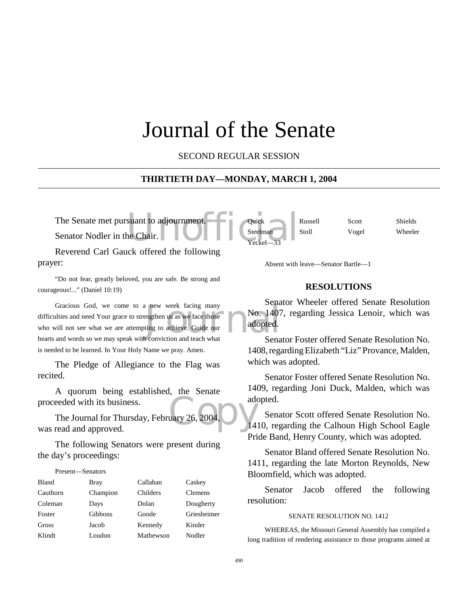# Journal of the Senate

SECOND REGULAR SESSION

#### **THIRTIETH DAY—MONDAY, MARCH 1, 2004**

Yeckel-

The Senate met pursuant to adjournment.<br>
Senator Nodler in the Chair.<br>
The Senator Nodler in the Chair. Senator Nodler in the Chair.

Reverend Carl Gauck offered the following prayer:

"Do not fear, greatly beloved, you are safe. Be strong and courageous!..." (Daniel 10:19)

rew week facing many<br>
engthen us as we face those<br>
ting to achieve. Guide our<br>
adopted. Gracious God, we come to a new week facing many difficulties and need Your grace to strengthen us as we face those who will not see what we are attempting to achieve. Guide our hearts and words so we may speak with conviction and teach what is needed to be learned. In Your Holy Name we pray. Amen.

The Pledge of Allegiance to the Flag was recited.

A quorum being established, the Senate proceeded with its business.

add<br>uary 26, 2004, 2004 The Journal for Thursday, February 26, 2004, was read and approved.

The following Senators were present during the day's proceedings:

Present—Senators

| <b>Bland</b> | Bray     | Callahan  | Caskey         |
|--------------|----------|-----------|----------------|
| Cauthorn     | Champion | Childers  | <b>Clemens</b> |
| Coleman      | Days     | Dolan     | Dougherty      |
| Foster       | Gibbons  | Goode     | Griesheimer    |
| Gross        | Jacob    | Kennedy   | Kinder         |
| Klindt       | Loudon   | Mathewson | Nodler         |

Absent with leave—Senator Bartle—1

#### **RESOLUTIONS**

Quick Russell Scott Shields Steelman Stoll Vogel Wheeler

Senator Wheeler offered Senate Resolution No. 1407, regarding Jessica Lenoir, which was adopted.

Senator Foster offered Senate Resolution No. 1408, regarding Elizabeth "Liz" Provance, Malden, which was adopted.

Senator Foster offered Senate Resolution No. 1409, regarding Joni Duck, Malden, which was adopted.

Senator Scott offered Senate Resolution No. 1410, regarding the Calhoun High School Eagle Pride Band, Henry County, which was adopted.

Senator Bland offered Senate Resolution No. 1411, regarding the late Morton Reynolds, New Bloomfield, which was adopted.

Senator Jacob offered the following resolution:

#### SENATE RESOLUTION NO. 1412

WHEREAS, the Missouri General Assembly has compiled a long tradition of rendering assistance to those programs aimed at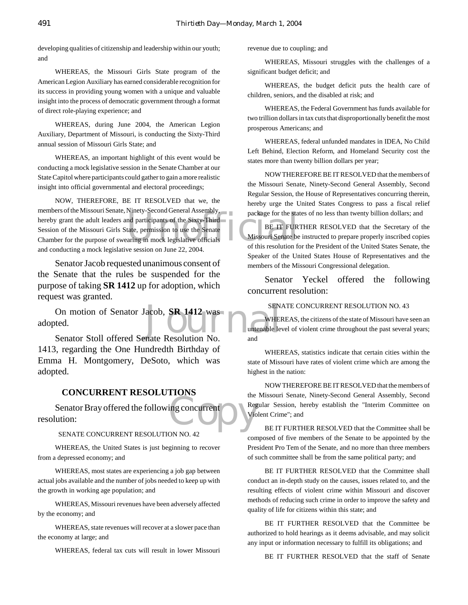developing qualities of citizenship and leadership within our youth; and

WHEREAS, the Missouri Girls State program of the American Legion Auxiliary has earned considerable recognition for its success in providing young women with a unique and valuable insight into the process of democratic government through a format of direct role-playing experience; and

WHEREAS, during June 2004, the American Legion Auxiliary, Department of Missouri, is conducting the Sixty-Third annual session of Missouri Girls State; and

WHEREAS, an important highlight of this event would be conducting a mock legislative session in the Senate Chamber at our State Capitol where participants could gather to gain a more realistic insight into official governmental and electoral proceedings;

package for the stand participants of the Sixty-Third<br>tate, permission to use the Senate<br>aring in mock-legislative officials<br>tate of this resolution for this resolution for this resolution for NOW, THEREFORE, BE IT RESOLVED that we, the members of the Missouri Senate, Ninety-Second General Assembly, hereby grant the adult leaders and participants of the Sixty-Third Session of the Missouri Girls State, permission to use the Senate Chamber for the purpose of swearing in mock legislative officials and conducting a mock legislative session on June 22, 2004.

Senator Jacob requested unanimous consent of the Senate that the rules be suspended for the purpose of taking **SR 1412** up for adoption, which request was granted.

On motion of Senator Jacob, **SR 1412** was<br>
ted.<br>
Senator Stoll offered Senate Resolution No adopted.

Senator Stoll offered Senate Resolution No. 1413, regarding the One Hundredth Birthday of Emma H. Montgomery, DeSoto, which was adopted.

#### **CONCURRENT RESOLUTIONS**

the the the the the concurrent of the Violence of the the concurrent of the theorem of the the theorem of the the theorem of the theorem of the theorem of the theorem of the theorem of the theorem of the theorem of the the Senator Bray offered the following concurrent resolution:

SENATE CONCURRENT RESOLUTION NO. 42

WHEREAS, the United States is just beginning to recover from a depressed economy; and

WHEREAS, most states are experiencing a job gap between actual jobs available and the number of jobs needed to keep up with the growth in working age population; and

WHEREAS, Missouri revenues have been adversely affected by the economy; and

WHEREAS, state revenues will recover at a slower pace than the economy at large; and

WHEREAS, federal tax cuts will result in lower Missouri

revenue due to coupling; and

WHEREAS, Missouri struggles with the challenges of a significant budget deficit; and

WHEREAS, the budget deficit puts the health care of children, seniors, and the disabled at risk; and

WHEREAS, the Federal Government has funds available for two trillion dollars in tax cuts that disproportionally benefit the most prosperous Americans; and

WHEREAS, federal unfunded mandates in IDEA, No Child Left Behind, Election Reform, and Homeland Security cost the states more than twenty billion dollars per year;

NOW THEREFORE BE IT RESOLVED that the members of the Missouri Senate, Ninety-Second General Assembly, Second Regular Session, the House of Representatives concurring therein, hereby urge the United States Congress to pass a fiscal relief package for the states of no less than twenty billion dollars; and

BE IT FURTHER RESOLVED that the Secretary of the Missouri Senate be instructed to prepare properly inscribed copies of this resolution for the President of the United States Senate, the Speaker of the United States House of Representatives and the members of the Missouri Congressional delegation.

Senator Yeckel offered the following concurrent resolution:

SENATE CONCURRENT RESOLUTION NO. 43

WHEREAS, the citizens of the state of Missouri have seen an untenable level of violent crime throughout the past several years; and

WHEREAS, statistics indicate that certain cities within the state of Missouri have rates of violent crime which are among the highest in the nation:

NOW THEREFORE BE IT RESOLVED that the members of the Missouri Senate, Ninety-Second General Assembly, Second Regular Session, hereby establish the "Interim Committee on Violent Crime"; and

BE IT FURTHER RESOLVED that the Committee shall be composed of five members of the Senate to be appointed by the President Pro Tem of the Senate, and no more than three members of such committee shall be from the same political party; and

BE IT FURTHER RESOLVED that the Committee shall conduct an in-depth study on the causes, issues related to, and the resulting effects of violent crime within Missouri and discover methods of reducing such crime in order to improve the safety and quality of life for citizens within this state; and

BE IT FURTHER RESOLVED that the Committee be authorized to hold hearings as it deems advisable, and may solicit any input or information necessary to fulfill its obligations; and

BE IT FURTHER RESOLVED that the staff of Senate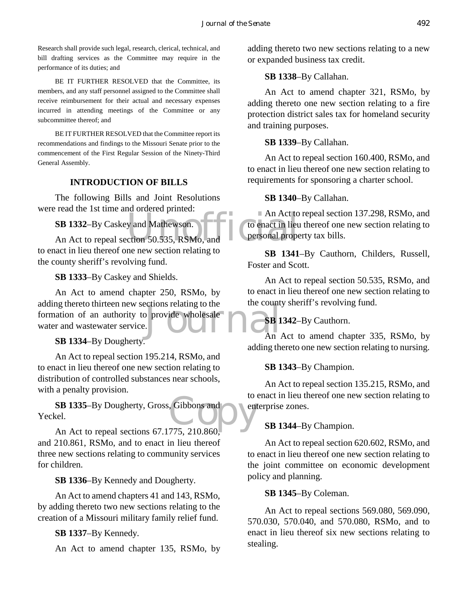Research shall provide such legal, research, clerical, technical, and bill drafting services as the Committee may require in the performance of its duties; and

BE IT FURTHER RESOLVED that the Committee, its members, and any staff personnel assigned to the Committee shall receive reimbursement for their actual and necessary expenses incurred in attending meetings of the Committee or any subcommittee thereof; and

BE IT FURTHER RESOLVED that the Committee report its recommendations and findings to the Missouri Senate prior to the commencement of the First Regular Session of the Ninety-Third General Assembly.

## **INTRODUCTION OF BILLS**

The following Bills and Joint Resolutions were read the 1st time and ordered printed:

**SB 1332**–By Caskey and Mathewson.

An Act to<br>
An Act to repeal section 50.535, RSMo, and<br>
The resonal proper to enact in lieu thereof one new section relating to the county sheriff's revolving fund.

**SB 1333**–By Caskey and Shields.

provide wholesale An Act to amend chapter 250, RSMo, by adding thereto thirteen new sections relating to the formation of an authority to provide wholesale water and wastewater service.

**SB 1334**–By Dougherty.

An Act to repeal section 195.214, RSMo, and to enact in lieu thereof one new section relating to distribution of controlled substances near schools, with a penalty provision.

Gibbons and **SB 1335**–By Dougherty, Gross, Gibbons and Yeckel.

An Act to repeal sections 67.1775, 210.860, and 210.861, RSMo, and to enact in lieu thereof three new sections relating to community services for children.

**SB 1336**–By Kennedy and Dougherty.

An Act to amend chapters 41 and 143, RSMo, by adding thereto two new sections relating to the creation of a Missouri military family relief fund.

**SB 1337**–By Kennedy.

An Act to amend chapter 135, RSMo, by

adding thereto two new sections relating to a new or expanded business tax credit.

## **SB 1338**–By Callahan.

An Act to amend chapter 321, RSMo, by adding thereto one new section relating to a fire protection district sales tax for homeland security and training purposes.

**SB 1339**–By Callahan.

An Act to repeal section 160.400, RSMo, and to enact in lieu thereof one new section relating to requirements for sponsoring a charter school.

## **SB 1340**–By Callahan.

An Act to repeal section 137.298, RSMo, and to enact in lieu thereof one new section relating to personal property tax bills.

**SB 1341**–By Cauthorn, Childers, Russell, Foster and Scott.

An Act to repeal section 50.535, RSMo, and to enact in lieu thereof one new section relating to the county sheriff's revolving fund.

# **SB 1342**–By Cauthorn.

 $\overline{An}$  Act to amend chapter 335, RSMo, by adding thereto one new section relating to nursing.

# **SB 1343**–By Champion.

An Act to repeal section 135.215, RSMo, and to enact in lieu thereof one new section relating to enterprise zones.

# **SB 1344**–By Champion.

An Act to repeal section 620.602, RSMo, and to enact in lieu thereof one new section relating to the joint committee on economic development policy and planning.

#### **SB 1345**–By Coleman.

An Act to repeal sections 569.080, 569.090, 570.030, 570.040, and 570.080, RSMo, and to enact in lieu thereof six new sections relating to stealing.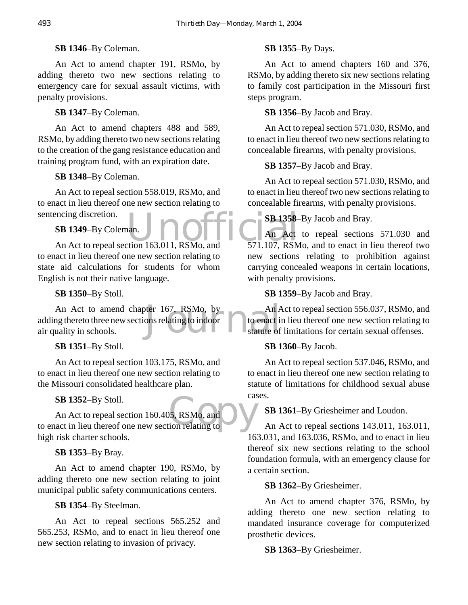## **SB 1346**–By Coleman.

An Act to amend chapter 191, RSMo, by adding thereto two new sections relating to emergency care for sexual assault victims, with penalty provisions.

# **SB 1347**–By Coleman.

An Act to amend chapters 488 and 589, RSMo, by adding thereto two new sections relating to the creation of the gang resistance education and training program fund, with an expiration date.

# **SB 1348**–By Coleman.

An Act to repeal section 558.019, RSMo, and to enact in lieu thereof one new section relating to sentencing discretion.

# **SB 1349**–By Coleman.

encing discretion.<br>
SB 1349-By Coleman. J<br>
An Act An Act to repeal section 163.011, RSMo, and 571.107, RSM to enact in lieu thereof one new section relating to state aid calculations for students for whom English is not their native language.

## **SB 1350**–By Stoll.

An Act to amend chapter 167, RSMo, by<br>
mg thereto three new sections relating to indoor<br>
uality in schools.<br>
tatute of adding thereto three new sections relating to indoor air quality in schools.

**SB 1351**–By Stoll.

An Act to repeal section 103.175, RSMo, and to enact in lieu thereof one new section relating to the Missouri consolidated healthcare plan.

# **SB 1352**–By Stoll.

cas<br>
5, RSMo, and<br>
ion relating to An Act to repeal section 160.405, RSMo, and to enact in lieu thereof one new section relating to high risk charter schools.

# **SB 1353**–By Bray.

An Act to amend chapter 190, RSMo, by adding thereto one new section relating to joint municipal public safety communications centers.

#### **SB 1354**–By Steelman.

An Act to repeal sections 565.252 and 565.253, RSMo, and to enact in lieu thereof one new section relating to invasion of privacy.

## **SB 1355**–By Days.

An Act to amend chapters 160 and 376, RSMo, by adding thereto six new sections relating to family cost participation in the Missouri first steps program.

## **SB 1356**–By Jacob and Bray.

An Act to repeal section 571.030, RSMo, and to enact in lieu thereof two new sections relating to concealable firearms, with penalty provisions.

## **SB 1357**–By Jacob and Bray.

An Act to repeal section 571.030, RSMo, and to enact in lieu thereof two new sections relating to concealable firearms, with penalty provisions.

# **SB 1358–By Jacob and Bray.**

An Act to repeal sections 571.030 and 571.107, RSMo, and to enact in lieu thereof two new sections relating to prohibition against carrying concealed weapons in certain locations, with penalty provisions.

#### **SB 1359**–By Jacob and Bray.

An Act to repeal section 556.037, RSMo, and to enact in lieu thereof one new section relating to statute of limitations for certain sexual offenses.

#### **SB 1360**–By Jacob.

An Act to repeal section 537.046, RSMo, and to enact in lieu thereof one new section relating to statute of limitations for childhood sexual abuse cases.

**SB 1361**–By Griesheimer and Loudon.

An Act to repeal sections 143.011, 163.011, 163.031, and 163.036, RSMo, and to enact in lieu thereof six new sections relating to the school foundation formula, with an emergency clause for a certain section.

**SB 1362**–By Griesheimer.

An Act to amend chapter 376, RSMo, by adding thereto one new section relating to mandated insurance coverage for computerized prosthetic devices.

**SB 1363**–By Griesheimer.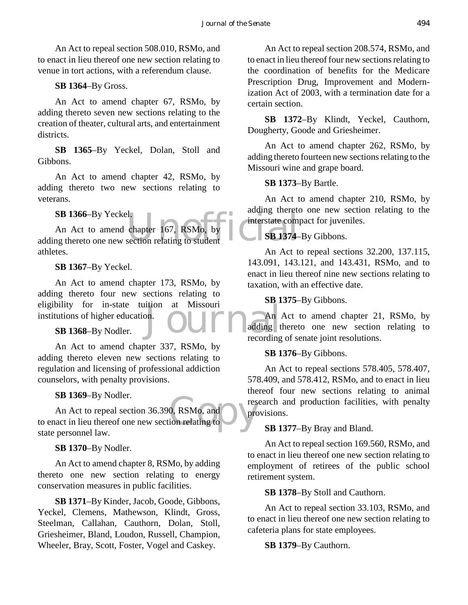An Act to repeal section 508.010, RSMo, and to enact in lieu thereof one new section relating to venue in tort actions, with a referendum clause.

## **SB 1364**–By Gross.

An Act to amend chapter 67, RSMo, by adding thereto seven new sections relating to the creation of theater, cultural arts, and entertainment districts.

**SB 1365**–By Yeckel, Dolan, Stoll and Gibbons.

An Act to amend chapter 42, RSMo, by adding thereto two new sections relating to veterans.

#### **SB 1366**–By Yeckel.

the chapter 167, RSMo, by<br>section relating to student<br>SB 1374 An Act to amend chapter 167, RSMo, by adding thereto one new section relating to student athletes.

**SB 1367**–By Yeckel.

on. An Act to amend chapter 173, RSMo, by adding thereto four new sections relating to eligibility for in-state tuition at Missouri institutions of higher education.

**SB 1368**–By Nodler.

An Act to amend chapter 337, RSMo, by adding thereto eleven new sections relating to regulation and licensing of professional addiction counselors, with penalty provisions.

#### **SB 1369**–By Nodler.

0, RSMo, and pressed on relating to An Act to repeal section 36.390, RSMo, and to enact in lieu thereof one new section relating to state personnel law.

**SB 1370**–By Nodler.

An Act to amend chapter 8, RSMo, by adding thereto one new section relating to energy conservation measures in public facilities.

**SB 1371**–By Kinder, Jacob, Goode, Gibbons, Yeckel, Clemens, Mathewson, Klindt, Gross, Steelman, Callahan, Cauthorn, Dolan, Stoll, Griesheimer, Bland, Loudon, Russell, Champion, Wheeler, Bray, Scott, Foster, Vogel and Caskey.

An Act to repeal section 208.574, RSMo, and to enact in lieu thereof four new sections relating to the coordination of benefits for the Medicare Prescription Drug, Improvement and Modernization Act of 2003, with a termination date for a certain section.

**SB 1372**–By Klindt, Yeckel, Cauthorn, Dougherty, Goode and Griesheimer.

An Act to amend chapter 262, RSMo, by adding thereto fourteen new sections relating to the Missouri wine and grape board.

**SB 1373**–By Bartle.

An Act to amend chapter 210, RSMo, by adding thereto one new section relating to the interstate compact for juveniles.

# **SB 1374**–By Gibbons.

An Act to repeal sections 32.200, 137.115, 143.091, 143.121, and 143.431, RSMo, and to enact in lieu thereof nine new sections relating to taxation, with an effective date.

#### **SB 1375**–By Gibbons.

An Act to amend chapter 21, RSMo, by adding thereto one new section relating to recording of senate joint resolutions.

#### **SB 1376**–By Gibbons.

An Act to repeal sections 578.405, 578.407, 578.409, and 578.412, RSMo, and to enact in lieu thereof four new sections relating to animal research and production facilities, with penalty provisions.

#### **SB 1377**–By Bray and Bland.

An Act to repeal section 169.560, RSMo, and to enact in lieu thereof one new section relating to employment of retirees of the public school retirement system.

**SB 1378**–By Stoll and Cauthorn.

An Act to repeal section 33.103, RSMo, and to enact in lieu thereof one new section relating to cafeteria plans for state employees.

**SB 1379**–By Cauthorn.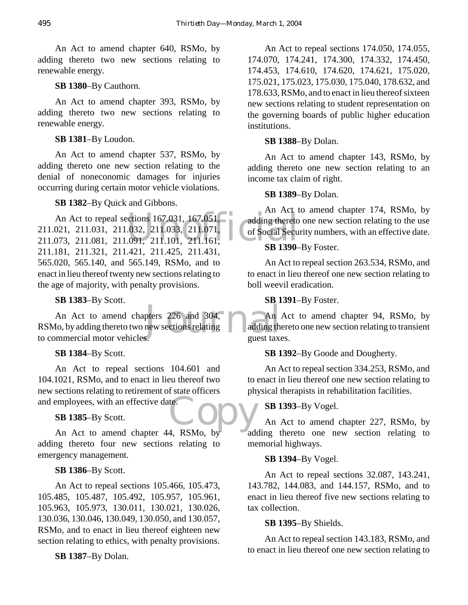An Act to amend chapter 640, RSMo, by adding thereto two new sections relating to renewable energy.

**SB 1380**–By Cauthorn.

An Act to amend chapter 393, RSMo, by adding thereto two new sections relating to renewable energy.

# **SB 1381**–By Loudon.

An Act to amend chapter 537, RSMo, by adding thereto one new section relating to the denial of noneconomic damages for injuries occurring during certain motor vehicle violations.

# **SB 1382**–By Quick and Gibbons.

ections 167.031, 167.051,<br>
032, 211.033, 211.071,<br>
091, 211.101, 211.161,<br>
SR 1390 An Act to repeal sections 167.031, 167.051, 211.021, 211.031, 211.032, 211.033, 211.071, 211.073, 211.081, 211.091, 211.101, 211.161, 211.181, 211.321, 211.421, 211.425, 211.431, 565.020, 565.140, and 565.149, RSMo, and to enact in lieu thereof twenty new sections relating to the age of majority, with penalty provisions.

# **SB 1383**–By Scott.

pters 226 and 304,<br>new sections relating adding the<br>s. An Act to amend chapters 226 and 304, RSMo, by adding thereto two new sections relating to commercial motor vehicles.

**SB 1384**–By Scott.

teCopy An Act to repeal sections 104.601 and 104.1021, RSMo, and to enact in lieu thereof two new sections relating to retirement of state officers and employees, with an effective date.

# **SB 1385**–By Scott.

An Act to amend chapter 44, RSMo, by adding thereto four new sections relating to emergency management.

# **SB 1386**–By Scott.

An Act to repeal sections 105.466, 105.473, 105.485, 105.487, 105.492, 105.957, 105.961, 105.963, 105.973, 130.011, 130.021, 130.026, 130.036, 130.046, 130.049, 130.050, and 130.057, RSMo, and to enact in lieu thereof eighteen new section relating to ethics, with penalty provisions.

**SB 1387**–By Dolan.

An Act to repeal sections 174.050, 174.055, 174.070, 174.241, 174.300, 174.332, 174.450, 174.453, 174.610, 174.620, 174.621, 175.020, 175.021, 175.023, 175.030, 175.040, 178.632, and 178.633, RSMo, and to enact in lieu thereof sixteen new sections relating to student representation on the governing boards of public higher education institutions.

# **SB 1388**–By Dolan.

An Act to amend chapter 143, RSMo, by adding thereto one new section relating to an income tax claim of right.

# **SB 1389**–By Dolan.

An Act to amend chapter 174, RSMo, by adding thereto one new section relating to the use of Social Security numbers, with an effective date.

# **SB 1390**–By Foster.

An Act to repeal section 263.534, RSMo, and to enact in lieu thereof one new section relating to boll weevil eradication.

# **SB 1391**–By Foster.

An Act to amend chapter 94, RSMo, by adding thereto one new section relating to transient guest taxes.

# **SB 1392**–By Goode and Dougherty.

An Act to repeal section 334.253, RSMo, and to enact in lieu thereof one new section relating to physical therapists in rehabilitation facilities.

# **SB 1393**–By Vogel.

An Act to amend chapter 227, RSMo, by adding thereto one new section relating to memorial highways.

# **SB 1394**–By Vogel.

An Act to repeal sections 32.087, 143.241, 143.782, 144.083, and 144.157, RSMo, and to enact in lieu thereof five new sections relating to tax collection.

# **SB 1395**–By Shields.

An Act to repeal section 143.183, RSMo, and to enact in lieu thereof one new section relating to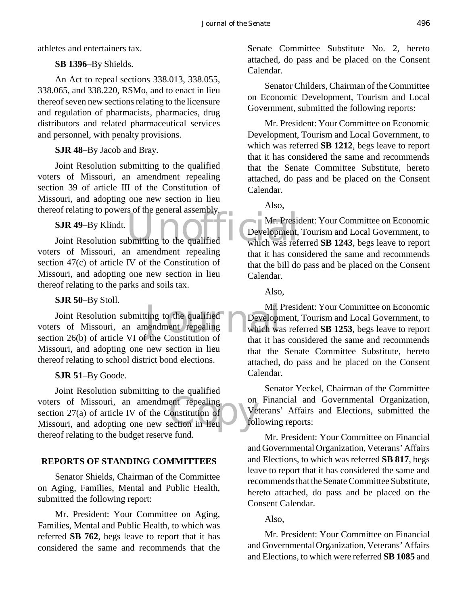athletes and entertainers tax.

# **SB 1396**–By Shields.

An Act to repeal sections 338.013, 338.055, 338.065, and 338.220, RSMo, and to enact in lieu thereof seven new sections relating to the licensure and regulation of pharmacists, pharmacies, drug distributors and related pharmaceutical services and personnel, with penalty provisions.

# **SJR 48**–By Jacob and Bray.

Joint Resolution submitting to the qualified voters of Missouri, an amendment repealing section 39 of article III of the Constitution of Missouri, and adopting one new section in lieu thereof relating to powers of the general assembly.

# **SJR 49**–By Klindt.

SJR 49-By Klindt.<br>Joint Resolution submitting to the qualified Mr. President, which was ref voters of Missouri, an amendment repealing section 47(c) of article IV of the Constitution of Missouri, and adopting one new section in lieu thereof relating to the parks and soils tax.

# **SJR 50**–By Stoll.

Mr. I<br>ting to the qualified<br>nendment repealing<br>f the Constitution of that it has Joint Resolution submitting to the qualified voters of Missouri, an amendment repealing section 26(b) of article VI of the Constitution of Missouri, and adopting one new section in lieu thereof relating to school district bond elections.

# **SJR 51**–By Goode.

ent repealing<br>
constitution of<br>
ection in lieu Joint Resolution submitting to the qualified voters of Missouri, an amendment repealing section 27(a) of article IV of the Constitution of Missouri, and adopting one new section in lieu thereof relating to the budget reserve fund.

# **REPORTS OF STANDING COMMITTEES**

Senator Shields, Chairman of the Committee on Aging, Families, Mental and Public Health, submitted the following report:

Mr. President: Your Committee on Aging, Families, Mental and Public Health, to which was referred **SB 762**, begs leave to report that it has considered the same and recommends that the Senate Committee Substitute No. 2, hereto attached, do pass and be placed on the Consent Calendar.

Senator Childers, Chairman of the Committee on Economic Development, Tourism and Local Government, submitted the following reports:

Mr. President: Your Committee on Economic Development, Tourism and Local Government, to which was referred **SB 1212**, begs leave to report that it has considered the same and recommends that the Senate Committee Substitute, hereto attached, do pass and be placed on the Consent Calendar.

Also,

Mr. President: Your Committee on Economic Development, Tourism and Local Government, to which was referred **SB 1243**, begs leave to report that it has considered the same and recommends that the bill do pass and be placed on the Consent Calendar.

Also,

Mr. President: Your Committee on Economic Development, Tourism and Local Government, to which was referred **SB 1253**, begs leave to report that it has considered the same and recommends that the Senate Committee Substitute, hereto attached, do pass and be placed on the Consent Calendar.

Senator Yeckel, Chairman of the Committee on Financial and Governmental Organization, Veterans' Affairs and Elections, submitted the following reports:

Mr. President: Your Committee on Financial and Governmental Organization, Veterans' Affairs and Elections, to which was referred **SB 817**, begs leave to report that it has considered the same and recommends that the Senate Committee Substitute, hereto attached, do pass and be placed on the Consent Calendar.

# Also,

Mr. President: Your Committee on Financial and Governmental Organization, Veterans' Affairs and Elections, to which were referred **SB 1085** and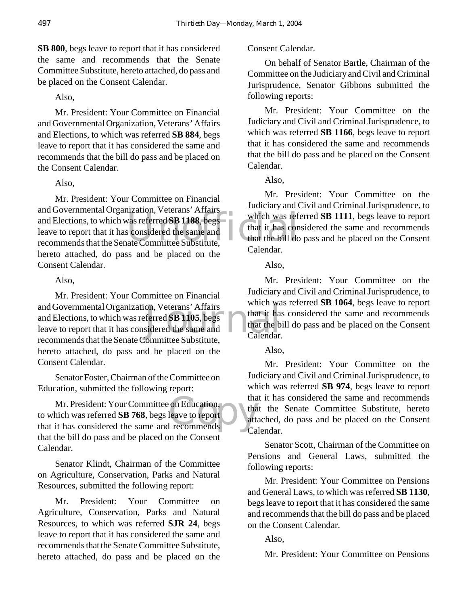**SB 800**, begs leave to report that it has considered the same and recommends that the Senate Committee Substitute, hereto attached, do pass and be placed on the Consent Calendar.

#### Also,

Mr. President: Your Committee on Financial and Governmental Organization, Veterans' Affairs and Elections, to which was referred **SB 884**, begs leave to report that it has considered the same and recommends that the bill do pass and be placed on the Consent Calendar.

#### Also,

and Elections, to which was referred **SB 1188**, begs<br>leave to report that it has considered the same and<br>recommends that the Senate Committee Substitute, Mr. President: Your Committee on Financial and Governmental Organization, Veterans' Affairs leave to report that it has considered the same and recommends that the Senate Committee Substitute, hereto attached, do pass and be placed on the Consent Calendar.

#### Also,

on, Veterans' Affairs<br>
ferred SB 1105, begs<br>
sidered the same and<br>
committee Substitute<br>
Calendar. Mr. President: Your Committee on Financial and Governmental Organization, Veterans' Affairs and Elections, to which was referred **SB 1105**, begs leave to report that it has considered the same and recommends that the Senate Committee Substitute, hereto attached, do pass and be placed on the Consent Calendar.

Senator Foster, Chairman of the Committee on Education, submitted the following report:

on Education,<br>leave to report<br>recommends Mr. President: Your Committee on Education, to which was referred **SB 768**, begs leave to report that it has considered the same and recommends that the bill do pass and be placed on the Consent Calendar.

Senator Klindt, Chairman of the Committee on Agriculture, Conservation, Parks and Natural Resources, submitted the following report:

Mr. President: Your Committee on Agriculture, Conservation, Parks and Natural Resources, to which was referred **SJR 24**, begs leave to report that it has considered the same and recommends that the Senate Committee Substitute, hereto attached, do pass and be placed on the

#### Consent Calendar.

On behalf of Senator Bartle, Chairman of the Committee on the Judiciary and Civil and Criminal Jurisprudence, Senator Gibbons submitted the following reports:

Mr. President: Your Committee on the Judiciary and Civil and Criminal Jurisprudence, to which was referred **SB 1166**, begs leave to report that it has considered the same and recommends that the bill do pass and be placed on the Consent Calendar.

Also,

Mr. President: Your Committee on the Judiciary and Civil and Criminal Jurisprudence, to which was referred **SB 1111**, begs leave to report that it has considered the same and recommends that the bill do pass and be placed on the Consent Calendar.

Also,

Mr. President: Your Committee on the Judiciary and Civil and Criminal Jurisprudence, to which was referred **SB 1064**, begs leave to report that it has considered the same and recommends that the bill do pass and be placed on the Consent Calendar.

#### Also,

Mr. President: Your Committee on the Judiciary and Civil and Criminal Jurisprudence, to which was referred **SB 974**, begs leave to report that it has considered the same and recommends that the Senate Committee Substitute, hereto attached, do pass and be placed on the Consent Calendar.

Senator Scott, Chairman of the Committee on Pensions and General Laws, submitted the following reports:

Mr. President: Your Committee on Pensions and General Laws, to which was referred **SB 1130**, begs leave to report that it has considered the same and recommends that the bill do pass and be placed on the Consent Calendar.

Also,

Mr. President: Your Committee on Pensions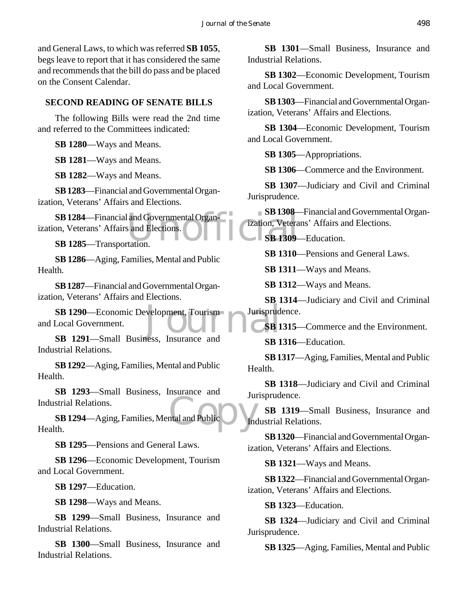and General Laws, to which was referred **SB 1055**, begs leave to report that it has considered the same and recommends that the bill do pass and be placed on the Consent Calendar.

#### **SECOND READING OF SENATE BILLS**

The following Bills were read the 2nd time and referred to the Committees indicated:

**SB 1280**—Ways and Means.

**SB 1281**—Ways and Means.

**SB 1282**—Ways and Means.

**SB 1283**—Financial and Governmental Organization, Veterans' Affairs and Elections.

SB 1284—Financial and Governmental Organ-<br>
SB 1285—Transportation.<br>
SB 1285—Transportation.<br>
SB 1285—Transportation. ization, Veterans' Affairs and Elections.

**SB 1285**—Transportation.

**SB 1286**—Aging, Families, Mental and Public Health.

**SB 1287**—Financial and Governmental Organization, Veterans' Affairs and Elections.

SB 1290—Economic Development, Tourism<br>
Local Government.<br>
SB 1<br>
SB 1<br>
SB 1 and Local Government.

**SB 1291**—Small Business, Insurance and Industrial Relations.

**SB 1292**—Aging, Families, Mental and Public Health.

**SB 1293**—Small Business, Insurance and Industrial Relations.

Intelland Public **SB 1294**—Aging, Families, Mental and Public Health.

**SB 1295**—Pensions and General Laws.

**SB 1296**—Economic Development, Tourism and Local Government.

**SB 1297**—Education.

**SB 1298**—Ways and Means.

**SB 1299**—Small Business, Insurance and Industrial Relations.

**SB 1300**—Small Business, Insurance and Industrial Relations.

**SB 1301**—Small Business, Insurance and Industrial Relations.

**SB 1302**—Economic Development, Tourism and Local Government.

**SB 1303**—Financial and Governmental Organization, Veterans' Affairs and Elections.

**SB 1304**—Economic Development, Tourism and Local Government.

**SB 1305**—Appropriations.

**SB 1306**—Commerce and the Environment.

**SB 1307**—Judiciary and Civil and Criminal Jurisprudence.

**SB 1308**—Financial and Governmental Organization, Veterans' Affairs and Elections.

**SB 1309**—Education.

**SB 1310**—Pensions and General Laws.

**SB 1311**—Ways and Means.

**SB 1312**—Ways and Means.

**SB 1314**—Judiciary and Civil and Criminal Jurisprudence.

**SB 1315**—Commerce and the Environment.

**SB 1316**—Education.

**SB 1317**—Aging, Families, Mental and Public Health.

**SB 1318**—Judiciary and Civil and Criminal Jurisprudence.

**SB 1319**—Small Business, Insurance and Industrial Relations.

**SB 1320**—Financial and Governmental Organization, Veterans' Affairs and Elections.

**SB 1321**—Ways and Means.

**SB 1322**—Financial and Governmental Organization, Veterans' Affairs and Elections.

**SB 1323**—Education.

**SB 1324**—Judiciary and Civil and Criminal Jurisprudence.

**SB 1325**—Aging, Families, Mental and Public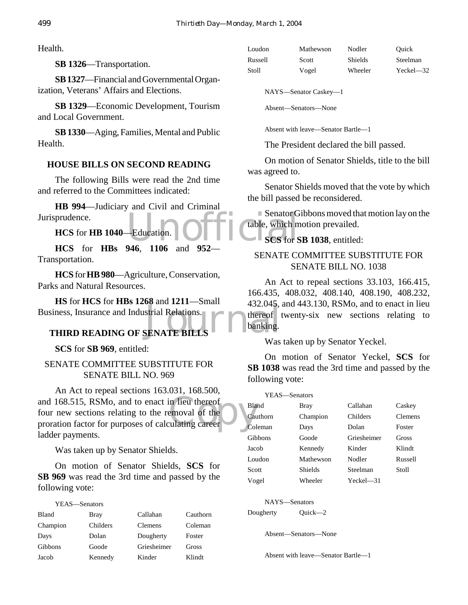Health.

**SB 1326**—Transportation.

**SB 1327**—Financial and Governmental Organization, Veterans' Affairs and Elections.

**SB 1329**—Economic Development, Tourism and Local Government.

**SB 1330**—Aging, Families, Mental and Public Health.

#### **HOUSE BILLS ON SECOND READING**

The following Bills were read the 2nd time and referred to the Committees indicated:

Education. 0 Fri Cable, which m **HB 994**—Judiciary and Civil and Criminal Jurisprudence.

**HCS** for **HB 1040**—Education.

**HCS** for **HBs 946**, **1106** and **952**— Transportation.

**HCS** for **HB 980**—Agriculture, Conservation, Parks and Natural Resources.

SENATE BILLS **HS** for **HCS** for **HBs 1268** and **1211**—Small Business, Insurance and Industrial Relations.

# **THIRD READING OF SENATE BILLS**

**SCS** for **SB 969**, entitled:

SENATE COMMITTEE SUBSTITUTE FOR SENATE BILL NO. 969

and 168.515, RSMo, and to enact in lieu thereof<br>
four new sections relating to the removal of the Cau<br>
proration factor for purposes of calculating career An Act to repeal sections 163.031, 168.500, four new sections relating to the removal of the proration factor for purposes of calculating career ladder payments.

Was taken up by Senator Shields.

On motion of Senator Shields, **SCS** for **SB 969** was read the 3rd time and passed by the following vote:

| YEAS-Senators |             |             |          |
|---------------|-------------|-------------|----------|
| <b>Bland</b>  | <b>Bray</b> | Callahan    | Cauthorn |
| Champion      | Childers    | Clemens     | Coleman  |
| Days          | Dolan       | Dougherty   | Foster   |
| Gibbons       | Goode       | Griesheimer | Gross    |
| Jacob         | Kennedy     | Kinder      | Klindt   |

| Loudon  | Mathewson | Nodler         | Ouick         |
|---------|-----------|----------------|---------------|
| Russell | Scott     | <b>Shields</b> | Steelman      |
| Stoll   | Vogel     | Wheeler        | $Yeckel - 32$ |

NAYS—Senator Caskey—1

Absent—Senators—None

Absent with leave—Senator Bartle—1

The President declared the bill passed.

On motion of Senator Shields, title to the bill was agreed to.

Senator Shields moved that the vote by which the bill passed be reconsidered.

Senator Gibbons moved that motion lay on the table, which motion prevailed.

**SCS** for **SB 1038**, entitled:

## SENATE COMMITTEE SUBSTITUTE FOR SENATE BILL NO. 1038

An Act to repeal sections 33.103, 166.415, 166.435, 408.032, 408.140, 408.190, 408.232, 432.045, and 443.130, RSMo, and to enact in lieu thereof twenty-six new sections relating to banking.

Was taken up by Senator Yeckel.

On motion of Senator Yeckel, **SCS** for **SB 1038** was read the 3rd time and passed by the following vote:

| YEAS—Senators |           |             |                |
|---------------|-----------|-------------|----------------|
| Bland         | Bray      | Callahan    | Caskey         |
| Cauthorn      | Champion  | Childers    | <b>Clemens</b> |
| Coleman       | Days      | Dolan       | Foster         |
| Gibbons       | Goode     | Griesheimer | Gross          |
| Jacob         | Kennedy   | Kinder      | Klindt         |
| Loudon        | Mathewson | Nodler      | Russell        |
| Scott         | Shields   | Steelman    | Stoll          |
| Vogel         | Wheeler   | Yeckel—31   |                |

NAYS—Senators

Dougherty Quick—2

Absent—Senators—None

Absent with leave—Senator Bartle—1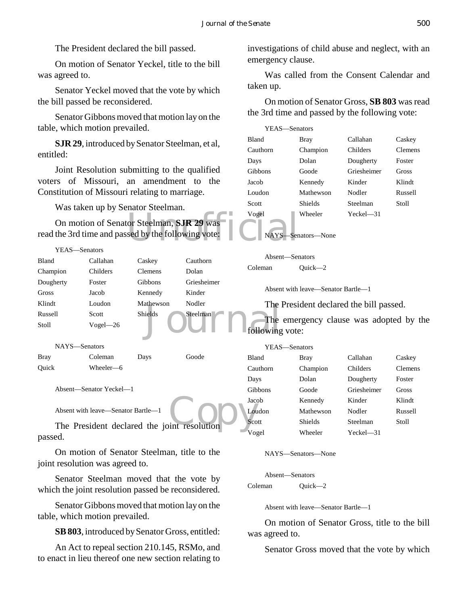The President declared the bill passed.

On motion of Senator Yeckel, title to the bill was agreed to.

Senator Yeckel moved that the vote by which the bill passed be reconsidered.

Senator Gibbons moved that motion lay on the table, which motion prevailed.

**SJR 29**, introduced by Senator Steelman, et al, entitled:

Joint Resolution submitting to the qualified voters of Missouri, an amendment to the Constitution of Missouri relating to marriage.

Was taken up by Senator Steelman.

YEAS—Senators

| On motion of Senator Steelman, SJR 29 was<br>read the 3rd time and passed by the following vote: |  |
|--------------------------------------------------------------------------------------------------|--|
|                                                                                                  |  |

investigations of child abuse and neglect, with an emergency clause.

Was called from the Consent Calendar and taken up.

On motion of Senator Gross, **SB 803** was read the 3rd time and passed by the following vote:

| YEAS—Senators |                |              |                |
|---------------|----------------|--------------|----------------|
| <b>Bland</b>  | Bray           | Callahan     | Caskey         |
| Cauthorn      | Champion       | Childers     | <b>Clemens</b> |
| Days          | Dolan          | Dougherty    | Foster         |
| Gibbons       | Goode          | Griesheimer  | Gross          |
| Jacob         | Kennedy        | Kinder       | Klindt         |
| Loudon        | Mathewson      | Nodler       | Russell        |
| Scott         | Shields        | Steelman     | Stoll          |
| Vogel         | Wheeler        | $Yeckel$ —31 |                |
| NAYS-         | —Senators—None |              |                |

| Bland                                       | Callahan                           | Caskey         | Cauthorn    | Absent-Senators |                                         |             |                |
|---------------------------------------------|------------------------------------|----------------|-------------|-----------------|-----------------------------------------|-------------|----------------|
| Champion                                    | Childers                           | <b>Clemens</b> | Dolan       | Coleman         | $Quick -2$                              |             |                |
| Dougherty                                   | Foster                             | Gibbons        | Griesheimer |                 |                                         |             |                |
| Gross                                       | Jacob                              | Kennedy        | Kinder      |                 | Absent with leave—Senator Bartle—1      |             |                |
| Klindt                                      | Loudon                             | Mathewson      | Nodler      |                 | The President declared the bill passed. |             |                |
| Russell                                     | Scott                              | Shields        | Steelman    |                 |                                         |             |                |
| Stoll                                       | $Vogel - 26$                       |                |             |                 | The emergency clause was adopted by the |             |                |
|                                             |                                    |                |             | following vote: |                                         |             |                |
|                                             | NAYS-Senators                      |                |             | YEAS-Senators   |                                         |             |                |
| <b>Bray</b>                                 | Coleman                            | Days           | Goode       | Bland           | <b>Bray</b>                             | Callahan    | Caskey         |
| Quick                                       | Wheeler-6                          |                |             | Cauthorn        | Champion                                | Childers    | <b>Clemens</b> |
|                                             |                                    |                |             | Days            | Dolan                                   | Dougherty   | Foster         |
|                                             | Absent—Senator Yeckel—1            |                |             | Gibbons         | Goode                                   | Griesheimer | Gross          |
|                                             |                                    |                |             | Jacob           | Kennedy                                 | Kinder      | Klindt         |
|                                             | Absent with leave—Senator Bartle—1 |                |             | Loudon          | Mathewson                               | Nodler      | Russell        |
| The President declared the joint resolution |                                    |                |             | Scott           | <b>Shields</b>                          | Steelman    | Stoll          |
| passed.                                     |                                    |                |             | Vogel           | Wheeler                                 | Yeckel-31   |                |

On motion of Senator Steelman, title to the joint resolution was agreed to.

Senator Steelman moved that the vote by which the joint resolution passed be reconsidered.

Senator Gibbons moved that motion lay on the table, which motion prevailed.

**SB 803**, introduced by Senator Gross, entitled:

An Act to repeal section 210.145, RSMo, and to enact in lieu thereof one new section relating to NAYS—Senators—None

Absent—Senators Coleman Quick—2

Absent with leave—Senator Bartle—1

On motion of Senator Gross, title to the bill was agreed to.

Senator Gross moved that the vote by which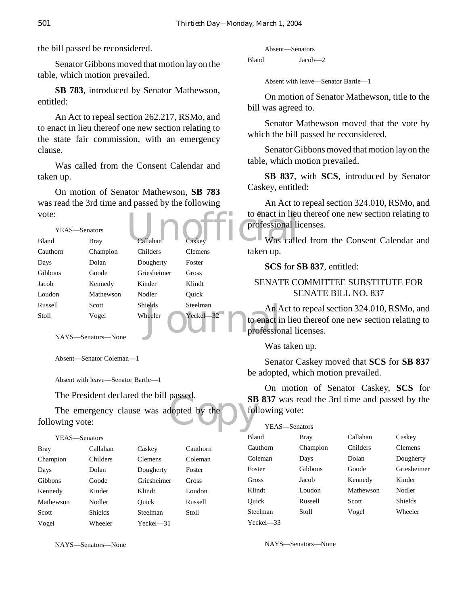the bill passed be reconsidered.

Senator Gibbons moved that motion lay on the table, which motion prevailed.

**SB 783**, introduced by Senator Mathewson, entitled:

An Act to repeal section 262.217, RSMo, and to enact in lieu thereof one new section relating to the state fair commission, with an emergency clause.

Was called from the Consent Calendar and taken up.

On motion of Senator Mathewson, **SB 783** was read the 3rd time and passed by the following vote:

| vote:         |                    |                |                | to enact in lieu |
|---------------|--------------------|----------------|----------------|------------------|
| YEAS-Senators |                    |                |                | professional li  |
| Bland         | <b>Bray</b>        | Callahan       | Caskey         | Was calle        |
| Cauthorn      | Champion           | Childers       | <b>Clemens</b> | taken up.        |
| Days          | Dolan              | Dougherty      | Foster         | <b>SCS</b> for S |
| Gibbons       | Goode              | Griesheimer    | Gross          |                  |
| Jacob         | Kennedy            | Kinder         | Klindt         | <b>SENATE CO</b> |
| Loudon        | Mathewson          | Nodler         | Ouick          | S <sub>I</sub>   |
| Russell       | Scott              | <b>Shields</b> | Steelman       | An Act to        |
| Stoll         | Vogel              | Wheeler        | $Yeckel - 32$  | to enact in lieu |
|               | NAYS—Senators—None |                |                | professional li  |

NAYS—Senators—None

Absent—Senator Coleman—1

Absent with leave—Senator Bartle—1

The President declared the bill passed.

passed.<br>
Suppose the state of the state of the state of the state of the state of the state of the state of the state of the state of the state of the state of the state of the state of the state of the state of the state The emergency clause was adopted by the following vote:

YEAS—Senators

| <b>Bray</b>    | Callahan       | Caskey         | Cauthorn |
|----------------|----------------|----------------|----------|
| Champion       | Childers       | <b>Clemens</b> | Coleman  |
| Days           | Dolan          | Dougherty      | Foster   |
| <b>Gibbons</b> | Goode          | Griesheimer    | Gross    |
| Kennedy        | Kinder         | Klindt         | Loudon   |
| Mathewson      | Nodler         | Ouick          | Russell  |
| Scott          | <b>Shields</b> | Steelman       | Stoll    |
| Vogel          | Wheeler        | $Yeckel - 31$  |          |

NAYS—Senators—None

Absent—Senators

Bland Jacob—2

Absent with leave—Senator Bartle—1

On motion of Senator Mathewson, title to the bill was agreed to.

Senator Mathewson moved that the vote by which the bill passed be reconsidered.

Senator Gibbons moved that motion lay on the table, which motion prevailed.

**SB 837**, with **SCS**, introduced by Senator Caskey, entitled:

An Act to repeal section 324.010, RSMo, and to enact in lieu thereof one new section relating to professional licenses.

Was called from the Consent Calendar and taken up.

**SCS** for **SB 837**, entitled:

# SENATE COMMITTEE SUBSTITUTE FOR SENATE BILL NO. 837

An Act to repeal section 324.010, RSMo, and to enact in lieu thereof one new section relating to professional licenses.

Was taken up.

Senator Caskey moved that **SCS** for **SB 837** be adopted, which motion prevailed.

On motion of Senator Caskey, **SCS** for **SB 837** was read the 3rd time and passed by the following vote:

| YEAS-Senators |          |                 |                |
|---------------|----------|-----------------|----------------|
| <b>Bland</b>  | Bray     | Callahan        | Caskey         |
| Cauthorn      | Champion | <b>Childers</b> | <b>Clemens</b> |
| Coleman       | Days     | Dolan           | Dougherty      |
| Foster        | Gibbons  | Goode           | Griesheimer    |
| Gross         | Jacob    | Kennedy         | Kinder         |
| Klindt        | Loudon   | Mathewson       | Nodler         |
| Ouick         | Russell  | Scott           | Shields        |
| Steelman      | Stoll    | Vogel           | Wheeler        |
| $Yech = 33$   |          |                 |                |

NAYS—Senators—None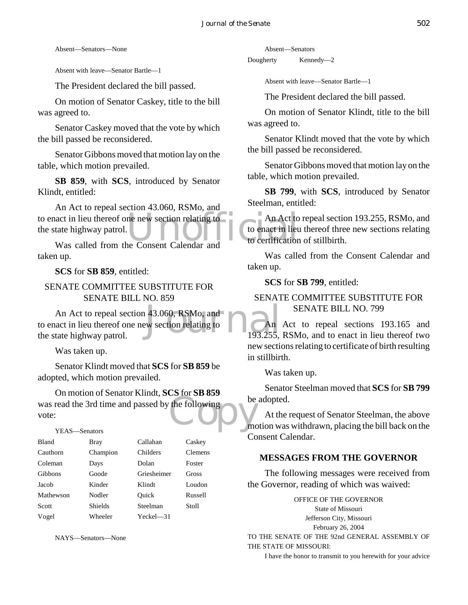Absent—Senators—None

Absent with leave—Senator Bartle—1

The President declared the bill passed.

On motion of Senator Caskey, title to the bill was agreed to.

Senator Caskey moved that the vote by which the bill passed be reconsidered.

Senator Gibbons moved that motion lay on the table, which motion prevailed.

**SB 859**, with **SCS**, introduced by Senator Klindt, entitled:

to enact in lieu thereof one new section relating to Can Act to<br>the state highway patrol. Was called from the Consent Calendar and<br>to certification An Act to repeal section 43.060, RSMo, and the state highway patrol.

Was called from the Consent Calendar and taken up.

**SCS** for **SB 859**, entitled:

SENATE COMMITTEE SUBSTITUTE FOR SENATE BILL NO. 859

43.060, RSMo, and<br>ew section relating to  $\begin{array}{|c|c|}\n\hline\n\end{array}$  An 193.255, An Act to repeal section 43.060, RSMo, and to enact in lieu thereof one new section relating to the state highway patrol.

Was taken up.

Senator Klindt moved that **SCS** for **SB 859** be adopted, which motion prevailed.

Was read the 3rd time and passed by the following<br>vote:<br>YEAS—Senators On motion of Senator Klindt, **SCS** for **SB 859** vote:

YEAS—Senators

| <b>Bland</b>   | Bray           | Callahan    | Caskey         |
|----------------|----------------|-------------|----------------|
| Cauthorn       | Champion       | Childers    | <b>Clemens</b> |
| Coleman        | Days           | Dolan       | Foster         |
| <b>Gibbons</b> | Goode          | Griesheimer | Gross          |
| Jacob          | Kinder         | Klindt      | Loudon         |
| Mathewson      | Nodler         | Ouick       | Russell        |
| Scott          | <b>Shields</b> | Steelman    | Stoll          |
| Vogel          | Wheeler        | Yeckel—31   |                |

NAYS—Senators—None

Absent—Senators

Dougherty Kennedy—2

Absent with leave—Senator Bartle—1

The President declared the bill passed.

On motion of Senator Klindt, title to the bill was agreed to.

Senator Klindt moved that the vote by which the bill passed be reconsidered.

Senator Gibbons moved that motion lay on the table, which motion prevailed.

**SB 799**, with **SCS**, introduced by Senator Steelman, entitled:

An Act to repeal section 193.255, RSMo, and to enact in lieu thereof three new sections relating to certification of stillbirth.

Was called from the Consent Calendar and taken up.

**SCS** for **SB 799**, entitled:

## SENATE COMMITTEE SUBSTITUTE FOR SENATE BILL NO. 799

An Act to repeal sections 193.165 and 193.255, RSMo, and to enact in lieu thereof two new sections relating to certificate of birth resulting in stillbirth.

Was taken up.

Senator Steelman moved that **SCS** for **SB 799** be adopted.

At the request of Senator Steelman, the above motion was withdrawn, placing the bill back on the Consent Calendar.

# **MESSAGES FROM THE GOVERNOR**

The following messages were received from the Governor, reading of which was waived:

OFFICE OF THE GOVERNOR State of Missouri Jefferson City, Missouri February 26, 2004 TO THE SENATE OF THE 92nd GENERAL ASSEMBLY OF THE STATE OF MISSOURI:

I have the honor to transmit to you herewith for your advice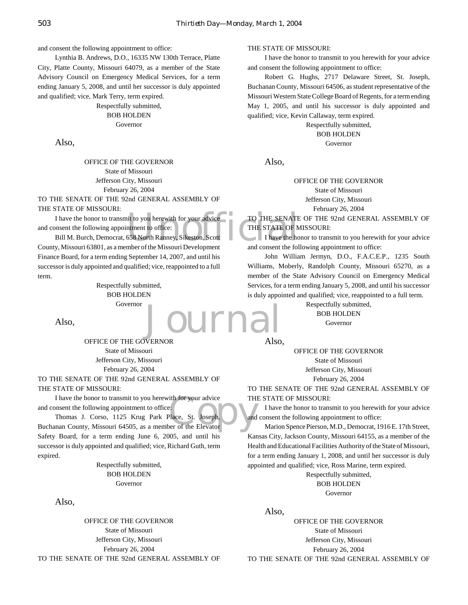and consent the following appointment to office:

Lynthia B. Andrews, D.O., 16335 NW 130th Terrace, Platte City, Platte County, Missouri 64079, as a member of the State Advisory Council on Emergency Medical Services, for a term ending January 5, 2008, and until her successor is duly appointed and qualified; vice, Mark Terry, term expired.

> Respectfully submitted, BOB HOLDEN Governor

Also,

OFFICE OF THE GOVERNOR State of Missouri Jefferson City, Missouri February 26, 2004

TO THE SENATE OF THE 92nd GENERAL ASSEMBLY OF THE STATE OF MISSOURI:

TO THE SENATE<br>
I have the honor to transmit to you herewith for your advice<br>
Bill M. Burch, Democrat, 658 North Ranney, Sikeston, Scott<br>
V. Missouri 63801, as a member of the Missouri Development<br>
and consent the following and consent the following appointment to office:

Bill M. Burch, Democrat, 658 North Ranney, Sikeston, Scott County, Missouri 63801, as a member of the Missouri Development Finance Board, for a term ending September 14, 2007, and until his successor is duly appointed and qualified; vice, reappointed to a full term.

> Respectfully submitted, BOB HOLDEN Governor

Also,

OFFICE OF THE GOVERNOR State of Missouri Jefferson City, Missouri February 26, 2004 TO THE SENATE OF THE 92nd GENERAL ASSEMBLY OF

#### THE STATE OF MISSOURI:

and consent the following appointment to office:

I have the honor to transmit to you herewith for your advice<br>
Thomas J. Corso, 1125 Krug Park Place, St. Joseph,<br>
Thomas J. Corso, 1125 Krug Park Place, St. Joseph,<br>
and<br>
and County, Missouri 64505, as a member of the Elev Thomas J. Corso, 1125 Krug Park Place, St. Joseph, Buchanan County, Missouri 64505, as a member of the Elevator Safety Board, for a term ending June 6, 2005, and until his successor is duly appointed and qualified; vice, Richard Guth, term expired.

> Respectfully submitted, BOB HOLDEN Governor

Also,

OFFICE OF THE GOVERNOR State of Missouri Jefferson City, Missouri February 26, 2004 TO THE SENATE OF THE 92nd GENERAL ASSEMBLY OF

#### THE STATE OF MISSOURI:

I have the honor to transmit to you herewith for your advice and consent the following appointment to office:

Robert G. Hughs, 2717 Delaware Street, St. Joseph, Buchanan County, Missouri 64506, as student representative of the Missouri Western State College Board of Regents, for a term ending May 1, 2005, and until his successor is duly appointed and qualified; vice, Kevin Callaway, term expired.

> Respectfully submitted, BOB HOLDEN

Governor

Also,

OFFICE OF THE GOVERNOR State of Missouri Jefferson City, Missouri February 26, 2004

TO THE SENATE OF THE 92nd GENERAL ASSEMBLY OF THE STATE OF MISSOURI:

I have the honor to transmit to you herewith for your advice and consent the following appointment to office:

John William Jermyn, D.O., F.A.C.E.P., 1235 South Williams, Moberly, Randolph County, Missouri 65270, as a member of the State Advisory Council on Emergency Medical Services, for a term ending January 5, 2008, and until his successor is duly appointed and qualified; vice, reappointed to a full term.

> Respectfully submitted, BOB HOLDEN Governor

Also,

OFFICE OF THE GOVERNOR State of Missouri

Jefferson City, Missouri

February 26, 2004

TO THE SENATE OF THE 92nd GENERAL ASSEMBLY OF THE STATE OF MISSOURI:

I have the honor to transmit to you herewith for your advice and consent the following appointment to office:

Marion Spence Pierson, M.D., Democrat, 1916 E. 17th Street, Kansas City, Jackson County, Missouri 64155, as a member of the Health and Educational Facilities Authority of the State of Missouri, for a term ending January 1, 2008, and until her successor is duly appointed and qualified; vice, Ross Marine, term expired.

> Respectfully submitted, BOB HOLDEN Governor

Also,

OFFICE OF THE GOVERNOR State of Missouri Jefferson City, Missouri February 26, 2004 TO THE SENATE OF THE 92nd GENERAL ASSEMBLY OF

Jurn: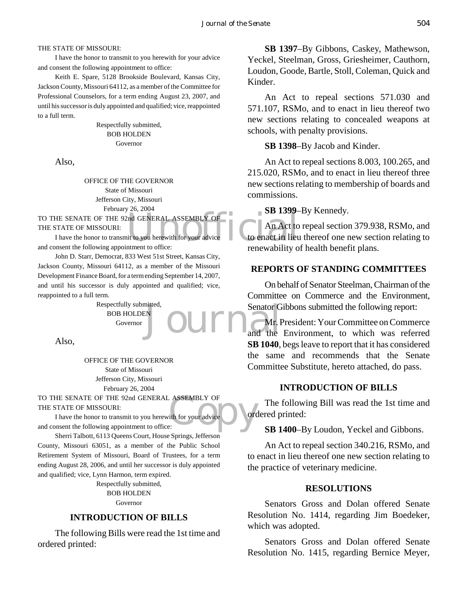THE STATE OF MISSOURI:

I have the honor to transmit to you herewith for your advice and consent the following appointment to office:

Keith E. Spare, 5128 Brookside Boulevard, Kansas City, Jackson County, Missouri 64112, as a member of the Committee for Professional Counselors, for a term ending August 23, 2007, and until his successor is duly appointed and qualified; vice, reappointed to a full term.

> Respectfully submitted, BOB HOLDEN Governor

Also,

OFFICE OF THE GOVERNOR State of Missouri Jefferson City, Missouri February 26, 2004

THE STATE OF MISSOURI:

TO THE SENATE OF THE 92nd GENERAL ASSEMBLY OF<br>THE STATE OF MISSOURI:<br>I have the honor to transmit to you herewith for your advice<br>and consent the following appointment to office: I have the honor to transmit to you herewith for your advice and consent the following appointment to office:

John D. Starr, Democrat, 833 West 51st Street, Kansas City, Jackson County, Missouri 64112, as a member of the Missouri Development Finance Board, for a term ending September 14, 2007, and until his successor is duly appointed and qualified; vice, reappointed to a full term.

Respectfully submitted, BOB HOLDEN Governor

Also,

OFFICE OF THE GOVERNOR State of Missouri Jefferson City, Missouri February 26, 2004

ASSEMBLY OF TO THE SENATE OF THE 92nd GENERAL ASSEMBLY OF THE STATE OF MISSOURI:

I have the honor to transmit to you herewith for your advice and consent the following appointment to office:

Sherri Talbott, 6113 Queens Court, House Springs, Jefferson County, Missouri 63051, as a member of the Public School Retirement System of Missouri, Board of Trustees, for a term ending August 28, 2006, and until her successor is duly appointed and qualified; vice, Lynn Harmon, term expired.

Respectfully submitted, BOB HOLDEN Governor

#### **INTRODUCTION OF BILLS**

The following Bills were read the 1st time and ordered printed:

**SB 1397**–By Gibbons, Caskey, Mathewson, Yeckel, Steelman, Gross, Griesheimer, Cauthorn, Loudon, Goode, Bartle, Stoll, Coleman, Quick and Kinder.

An Act to repeal sections 571.030 and 571.107, RSMo, and to enact in lieu thereof two new sections relating to concealed weapons at schools, with penalty provisions.

**SB 1398**–By Jacob and Kinder.

An Act to repeal sections 8.003, 100.265, and 215.020, RSMo, and to enact in lieu thereof three new sections relating to membership of boards and commissions.

#### **SB 1399**–By Kennedy.

An Act to repeal section 379.938, RSMo, and to enact in lieu thereof one new section relating to renewability of health benefit plans.

#### **REPORTS OF STANDING COMMITTEES**

On behalf of Senator Steelman, Chairman of the Committee on Commerce and the Environment, Senator Gibbons submitted the following report:

Senator G<br>N. Senator G<br>and the and the Mr. President: Your Committee on Commerce and the Environment, to which was referred **SB 1040**, begs leave to report that it has considered the same and recommends that the Senate Committee Substitute, hereto attached, do pass.

#### **INTRODUCTION OF BILLS**

The following Bill was read the 1st time and ordered printed:

**SB 1400**–By Loudon, Yeckel and Gibbons.

An Act to repeal section 340.216, RSMo, and to enact in lieu thereof one new section relating to the practice of veterinary medicine.

#### **RESOLUTIONS**

Senators Gross and Dolan offered Senate Resolution No. 1414, regarding Jim Boedeker, which was adopted.

Senators Gross and Dolan offered Senate Resolution No. 1415, regarding Bernice Meyer,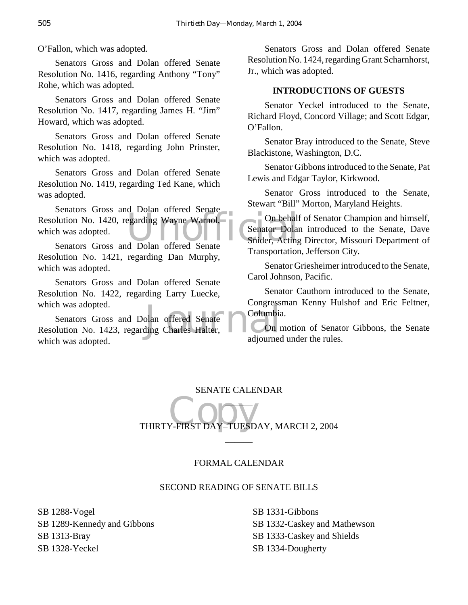O'Fallon, which was adopted.

Senators Gross and Dolan offered Senate Resolution No. 1416, regarding Anthony "Tony" Rohe, which was adopted.

Senators Gross and Dolan offered Senate Resolution No. 1417, regarding James H. "Jim" Howard, which was adopted.

Senators Gross and Dolan offered Senate Resolution No. 1418, regarding John Prinster, which was adopted.

Senators Gross and Dolan offered Senate Resolution No. 1419, regarding Ted Kane, which was adopted.

Resolution No. 1420, regarding Wayne Warnol, Constant Constant Constant Constant Constant Constant Constant Constant Constant Constant Constant Constant Constant Constant Constant Constant Constant Constant Constant Consta Senators Gross and Dolan offered Senate which was adopted.

Senators Gross and Dolan offered Senate Resolution No. 1421, regarding Dan Murphy, which was adopted.

Senators Gross and Dolan offered Senate Resolution No. 1422, regarding Larry Luecke, which was adopted.

which was adopted.<br>
Senators Gross and Dolan offered Senate<br>
Resolution No. 1423, regarding Charles Halter, **Columbia**<br>
adiourned Senators Gross and Dolan offered Senate which was adopted.

Senators Gross and Dolan offered Senate Resolution No. 1424, regarding Grant Scharnhorst, Jr., which was adopted.

#### **INTRODUCTIONS OF GUESTS**

Senator Yeckel introduced to the Senate, Richard Floyd, Concord Village; and Scott Edgar, O'Fallon.

Senator Bray introduced to the Senate, Steve Blackistone, Washington, D.C.

Senator Gibbons introduced to the Senate, Pat Lewis and Edgar Taylor, Kirkwood.

Senator Gross introduced to the Senate, Stewart "Bill" Morton, Maryland Heights.

On behalf of Senator Champion and himself, Senator Dolan introduced to the Senate, Dave Snider, Acting Director, Missouri Department of Transportation, Jefferson City.

Senator Griesheimer introduced to the Senate, Carol Johnson, Pacific.

Senator Cauthorn introduced to the Senate, Congressman Kenny Hulshof and Eric Feltner, Columbia.

On motion of Senator Gibbons, the Senate adjourned under the rules.

# SENATE CALENDAR  $\overline{\phantom{a}}$

Copy THIRTY-FIRST DAY–TUESDAY, MARCH 2, 2004

 $\overline{\phantom{a}}$ 

#### FORMAL CALENDAR

#### SECOND READING OF SENATE BILLS

SB 1288-Vogel SB 1289-Kennedy and Gibbons SB 1313-Bray SB 1328-Yeckel

SB 1331-Gibbons SB 1332-Caskey and Mathewson SB 1333-Caskey and Shields SB 1334-Dougherty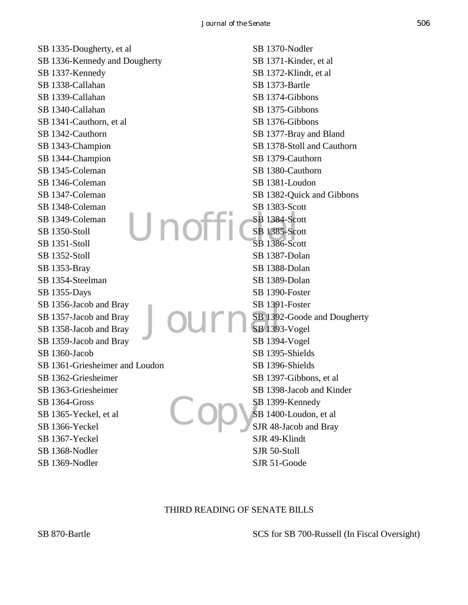Unoffic Journal  $Co$ SB 1335-Dougherty, et al SB 1336-Kennedy and Dougherty SB 1337-Kennedy SB 1338-Callahan SB 1339-Callahan SB 1340-Callahan SB 1341-Cauthorn, et al SB 1342-Cauthorn SB 1343-Champion SB 1344-Champion SB 1345-Coleman SB 1346-Coleman SB 1347-Coleman SB 1348-Coleman SB 1349-Coleman SB 1350-Stoll SB 1351-Stoll SB 1352-Stoll SB 1353-Bray SB 1354-Steelman SB 1355-Days SB 1356-Jacob and Bray SB 1357-Jacob and Bray SB 1358-Jacob and Bray SB 1359-Jacob and Bray SB 1360-Jacob SB 1361-Griesheimer and Loudon SB 1362-Griesheimer SB 1363-Griesheimer SB 1364-Gross SB 1365-Yeckel, et al SB 1366-Yeckel SB 1367-Yeckel SB 1368-Nodler SB 1369-Nodler SB 1370-Nodler SB 1371-Kinder, et al SB 1372-Klindt, et al SB 1373-Bartle SB 1374-Gibbons SB 1375-Gibbons SB 1376-Gibbons SB 1377-Bray and Bland SB 1378-Stoll and Cauthorn SB 1379-Cauthorn SB 1380-Cauthorn SB 1381-Loudon SB 1382-Quick and Gibbons SB 1383-Scott SB 1384-Scott SB 1385-Scott SB 1386-Scott SB 1387-Dolan SB 1388-Dolan SB 1389-Dolan SB 1390-Foster SB 1391-Foster SB 1392-Goode and Dougherty SB 1393-Vogel SB 1394-Vogel SB 1395-Shields SB 1396-Shields SB 1397-Gibbons, et al SB 1398-Jacob and Kinder SB 1399-Kennedy SB 1400-Loudon, et al SJR 48-Jacob and Bray SJR 49-Klindt SJR 50-Stoll SJR 51-Goode

#### THIRD READING OF SENATE BILLS

SCS for SB 700-Russell (In Fiscal Oversight)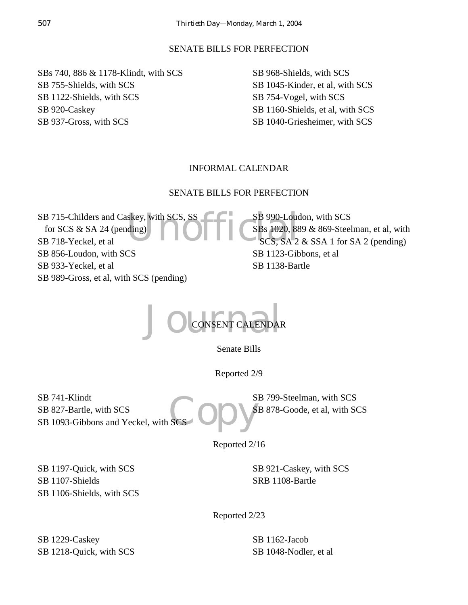#### SENATE BILLS FOR PERFECTION

SBs 740, 886 & 1178-Klindt, with SCS SB 755-Shields, with SCS SB 1122-Shields, with SCS SB 920-Caskey SB 937-Gross, with SCS

SB 968-Shields, with SCS SB 1045-Kinder, et al, with SCS SB 754-Vogel, with SCS SB 1160-Shields, et al, with SCS SB 1040-Griesheimer, with SCS

## INFORMAL CALENDAR

#### SENATE BILLS FOR PERFECTION

Skey, with SCS, SS<br>ding)<br>
CSBs 1020, 88<br>
SCS, SA 2 SB 715-Childers and Caskey, with SCS, SS for SCS & SA 24 (pending) SB 718-Yeckel, et al SB 856-Loudon, with SCS SB 933-Yeckel, et al SB 989-Gross, et al, with SCS (pending)

SB 990-Loudon, with SCS SBs 1020, 889 & 869-Steelman, et al, with SCS, SA 2 & SSA 1 for SA 2 (pending) SB 1123-Gibbons, et al SB 1138-Bartle



Senate Bills

Reported 2/9

Ses Opys SB 741-Klindt SB 827-Bartle, with SCS SB 1093-Gibbons and Yeckel, with S

SB 799-Steelman, with SCS SB 878-Goode, et al, with SCS

Reported 2/16

SB 1197-Quick, with SCS SB 1107-Shields SB 1106-Shields, with SCS SB 921-Caskey, with SCS SRB 1108-Bartle

Reported 2/23

SB 1229-Caskey SB 1218-Quick, with SCS SB 1162-Jacob SB 1048-Nodler, et al